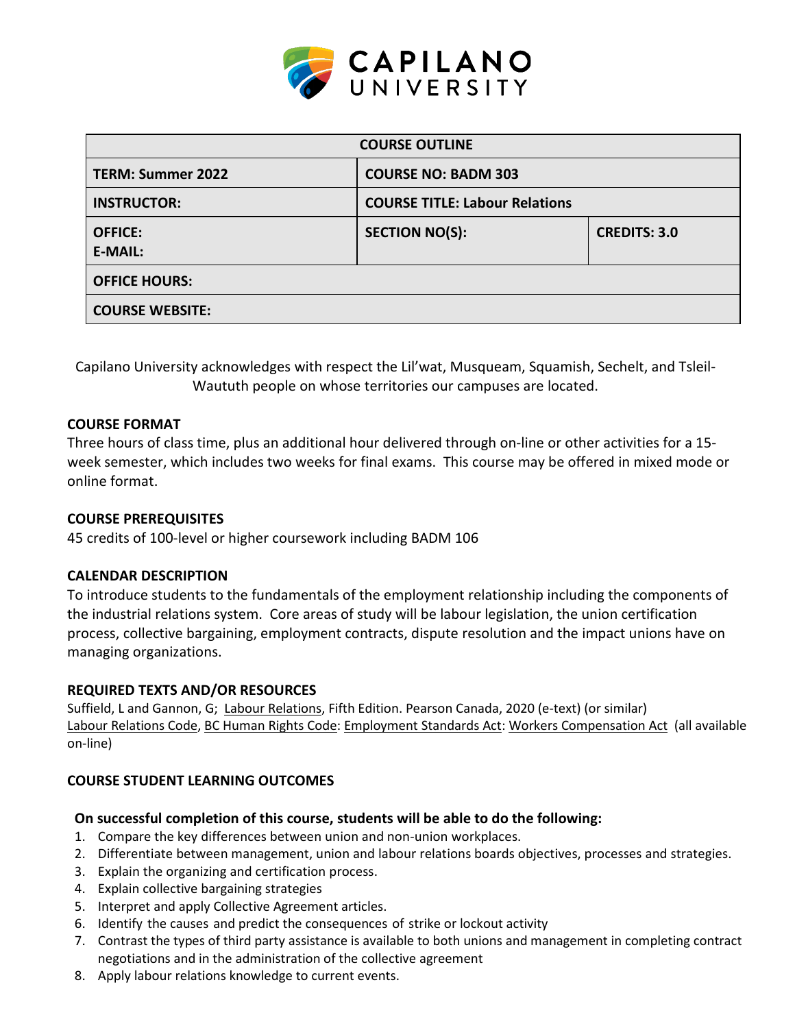

| <b>COURSE OUTLINE</b>            |                                       |                     |  |  |
|----------------------------------|---------------------------------------|---------------------|--|--|
| <b>TERM: Summer 2022</b>         | <b>COURSE NO: BADM 303</b>            |                     |  |  |
| <b>INSTRUCTOR:</b>               | <b>COURSE TITLE: Labour Relations</b> |                     |  |  |
| <b>OFFICE:</b><br><b>E-MAIL:</b> | <b>SECTION NO(S):</b>                 | <b>CREDITS: 3.0</b> |  |  |
| <b>OFFICE HOURS:</b>             |                                       |                     |  |  |
| <b>COURSE WEBSITE:</b>           |                                       |                     |  |  |

Capilano University acknowledges with respect the Lil'wat, Musqueam, Squamish, Sechelt, and Tsleil-Waututh people on whose territories our campuses are located.

## **COURSE FORMAT**

Three hours of class time, plus an additional hour delivered through on-line or other activities for a 15 week semester, which includes two weeks for final exams. This course may be offered in mixed mode or online format.

### **COURSE PREREQUISITES**

45 credits of 100-level or higher coursework including BADM 106

### **CALENDAR DESCRIPTION**

To introduce students to the fundamentals of the employment relationship including the components of the industrial relations system. Core areas of study will be labour legislation, the union certification process, collective bargaining, employment contracts, dispute resolution and the impact unions have on managing organizations.

### **REQUIRED TEXTS AND/OR RESOURCES**

Suffield, L and Gannon, G; Labour Relations, Fifth Edition. Pearson Canada, 2020 (e-text) (or similar) Labour Relations Code, BC Human Rights Code: Employment Standards Act: Workers Compensation Act (all available on-line)

# **COURSE STUDENT LEARNING OUTCOMES**

### **On successful completion of this course, students will be able to do the following:**

- 1. Compare the key differences between union and non-union workplaces.
- 2. Differentiate between management, union and labour relations boards objectives, processes and strategies.
- 3. Explain the organizing and certification process.
- 4. Explain collective bargaining strategies
- 5. Interpret and apply Collective Agreement articles.
- 6. Identify the causes and predict the consequences of strike or lockout activity
- 7. Contrast the types of third party assistance is available to both unions and management in completing contract negotiations and in the administration of the collective agreement
- 8. Apply labour relations knowledge to current events.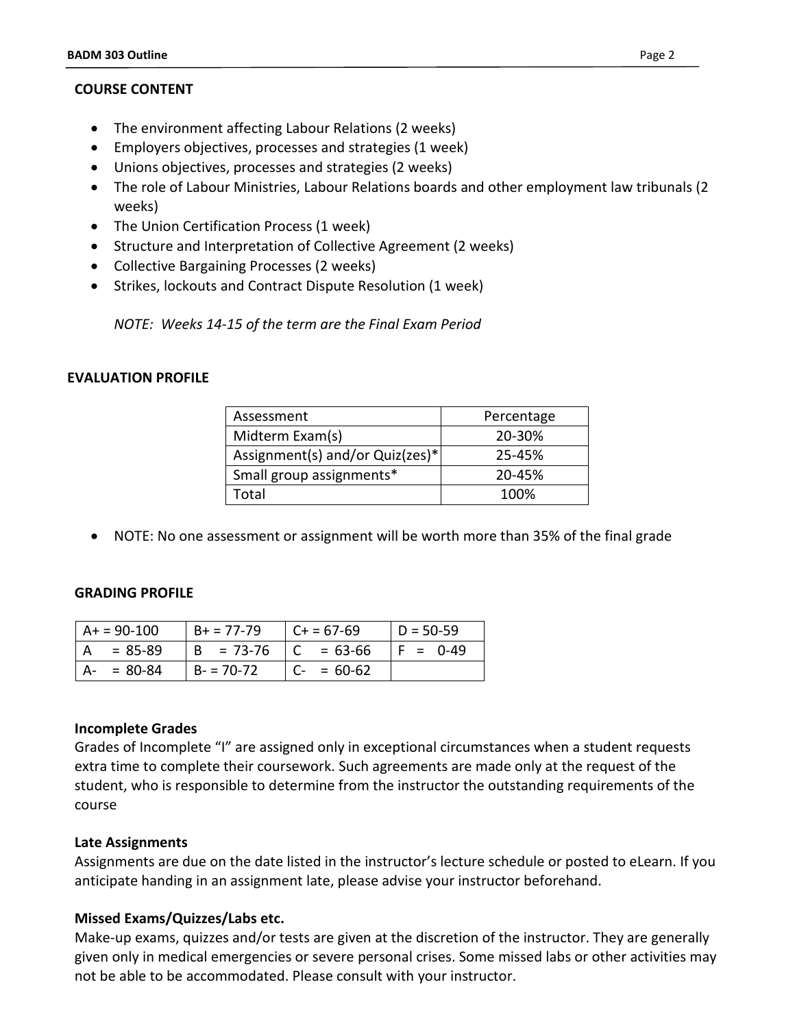### **COURSE CONTENT**

- The environment affecting Labour Relations (2 weeks)
- Employers objectives, processes and strategies (1 week)
- Unions objectives, processes and strategies (2 weeks)
- The role of Labour Ministries, Labour Relations boards and other employment law tribunals (2 weeks)
- The Union Certification Process (1 week)
- Structure and Interpretation of Collective Agreement (2 weeks)
- Collective Bargaining Processes (2 weeks)
- Strikes, lockouts and Contract Dispute Resolution (1 week)

*NOTE: Weeks 14-15 of the term are the Final Exam Period*

### **EVALUATION PROFILE**

| Assessment                      | Percentage |  |
|---------------------------------|------------|--|
| Midterm Exam(s)                 | 20-30%     |  |
| Assignment(s) and/or Quiz(zes)* | 25-45%     |  |
| Small group assignments*        | 20-45%     |  |
| Total                           | 100%       |  |

• NOTE: No one assessment or assignment will be worth more than 35% of the final grade

### **GRADING PROFILE**

|                   | A+ = 90-100 | $B + 77 - 79$ | $C + 57-69$   | $D = 50-59$ |
|-------------------|-------------|---------------|---------------|-------------|
| $^{\mathsf{L}}$ A | = 85-89     | $  B = 73-76$ | $ C = 63-66$  | IF = 0-49   |
|                   | $A - 80-84$ | $B = 70-72$   | $ C - 50.62 $ |             |

### **Incomplete Grades**

Grades of Incomplete "I" are assigned only in exceptional circumstances when a student requests extra time to complete their coursework. Such agreements are made only at the request of the student, who is responsible to determine from the instructor the outstanding requirements of the course

### **Late Assignments**

Assignments are due on the date listed in the instructor's lecture schedule or posted to eLearn. If you anticipate handing in an assignment late, please advise your instructor beforehand.

### **Missed Exams/Quizzes/Labs etc.**

Make-up exams, quizzes and/or tests are given at the discretion of the instructor. They are generally given only in medical emergencies or severe personal crises. Some missed labs or other activities may not be able to be accommodated. Please consult with your instructor.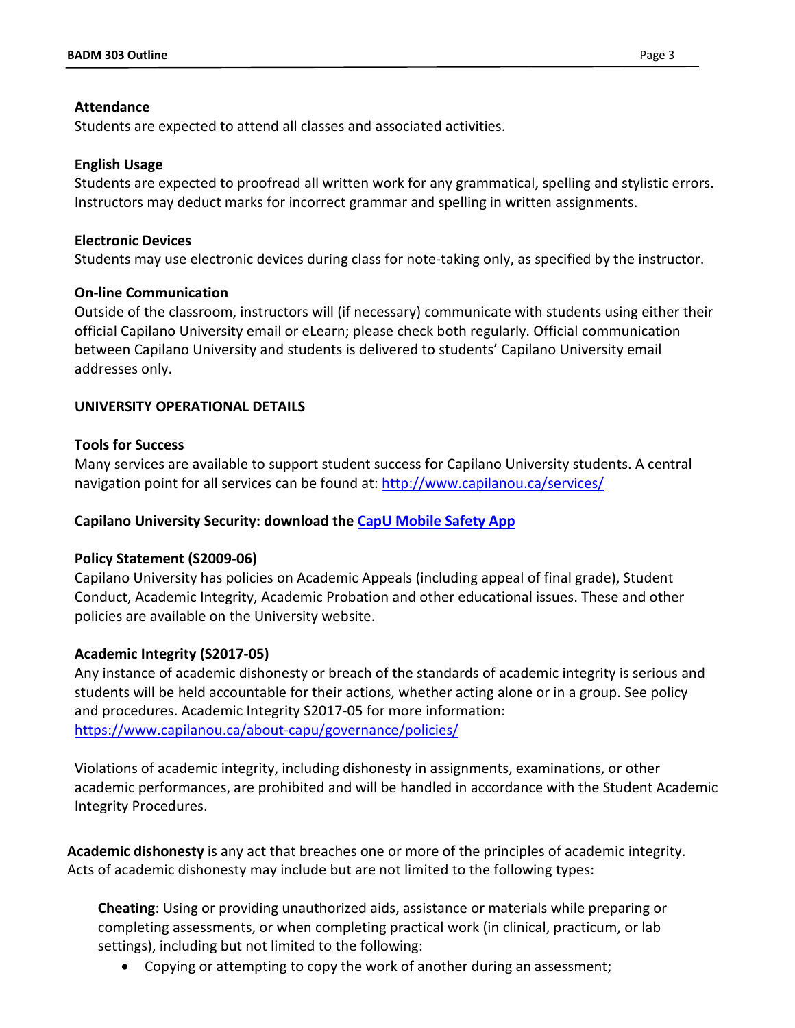## **Attendance**

Students are expected to attend all classes and associated activities.

## **English Usage**

Students are expected to proofread all written work for any grammatical, spelling and stylistic errors. Instructors may deduct marks for incorrect grammar and spelling in written assignments.

## **Electronic Devices**

Students may use electronic devices during class for note-taking only, as specified by the instructor.

## **On-line Communication**

Outside of the classroom, instructors will (if necessary) communicate with students using either their official Capilano University email or eLearn; please check both regularly. Official communication between Capilano University and students is delivered to students' Capilano University email addresses only.

# **UNIVERSITY OPERATIONAL DETAILS**

# **Tools for Success**

Many services are available to support student success for Capilano University students. A central navigation point for all services can be found at:<http://www.capilanou.ca/services/>

# **Capilano University Security: download the [CapU Mobile Safety App](https://www.capilanou.ca/services/safety-security/CapU-Mobile-Safety-App/)**

### **Policy Statement (S2009-06)**

Capilano University has policies on Academic Appeals (including appeal of final grade), Student Conduct, Academic Integrity, Academic Probation and other educational issues. These and other policies are available on the University website.

# **Academic Integrity (S2017-05)**

Any instance of academic dishonesty or breach of the standards of academic integrity is serious and students will be held accountable for their actions, whether acting alone or in a group. See policy and procedures. Academic Integrity S2017-05 for more information: <https://www.capilanou.ca/about-capu/governance/policies/>

Violations of academic integrity, including dishonesty in assignments, examinations, or other academic performances, are prohibited and will be handled in accordance with the Student Academic Integrity Procedures.

**Academic dishonesty** is any act that breaches one or more of the principles of academic integrity. Acts of academic dishonesty may include but are not limited to the following types:

**Cheating**: Using or providing unauthorized aids, assistance or materials while preparing or completing assessments, or when completing practical work (in clinical, practicum, or lab settings), including but not limited to the following:

• Copying or attempting to copy the work of another during an assessment;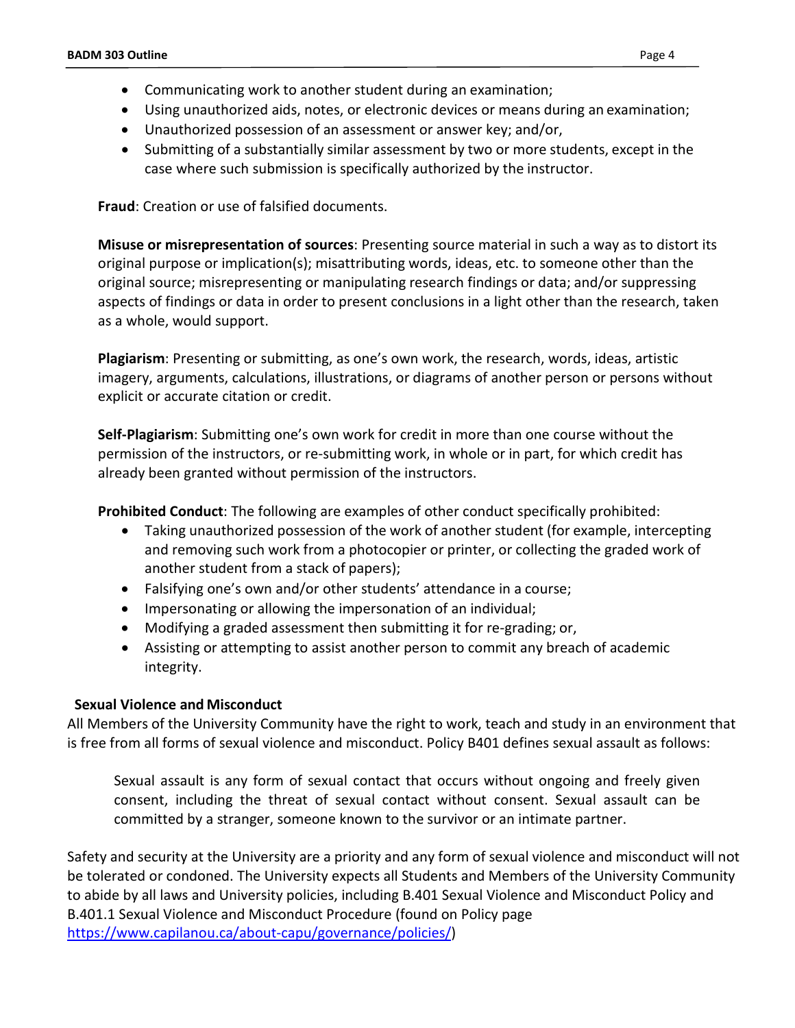- Communicating work to another student during an examination;
- Using unauthorized aids, notes, or electronic devices or means during an examination;
- Unauthorized possession of an assessment or answer key; and/or,
- Submitting of a substantially similar assessment by two or more students, except in the case where such submission is specifically authorized by the instructor.

**Fraud**: Creation or use of falsified documents.

**Misuse or misrepresentation of sources**: Presenting source material in such a way as to distort its original purpose or implication(s); misattributing words, ideas, etc. to someone other than the original source; misrepresenting or manipulating research findings or data; and/or suppressing aspects of findings or data in order to present conclusions in a light other than the research, taken as a whole, would support.

**Plagiarism**: Presenting or submitting, as one's own work, the research, words, ideas, artistic imagery, arguments, calculations, illustrations, or diagrams of another person or persons without explicit or accurate citation or credit.

**Self-Plagiarism**: Submitting one's own work for credit in more than one course without the permission of the instructors, or re-submitting work, in whole or in part, for which credit has already been granted without permission of the instructors.

**Prohibited Conduct**: The following are examples of other conduct specifically prohibited:

- Taking unauthorized possession of the work of another student (for example, intercepting and removing such work from a photocopier or printer, or collecting the graded work of another student from a stack of papers);
- Falsifying one's own and/or other students' attendance in a course;
- Impersonating or allowing the impersonation of an individual;
- Modifying a graded assessment then submitting it for re-grading; or,
- Assisting or attempting to assist another person to commit any breach of academic integrity.

# **Sexual Violence and Misconduct**

All Members of the University Community have the right to work, teach and study in an environment that is free from all forms of sexual violence and misconduct. Policy B401 defines sexual assault as follows:

Sexual assault is any form of sexual contact that occurs without ongoing and freely given consent, including the threat of sexual contact without consent. Sexual assault can be committed by a stranger, someone known to the survivor or an intimate partner.

Safety and security at the University are a priority and any form of sexual violence and misconduct will not be tolerated or condoned. The University expects all Students and Members of the University Community to abide by all laws and University policies, including B.401 Sexual Violence and Misconduct Policy and B.401.1 Sexual Violence and Misconduct Procedure (found on Policy page [https://www.capilanou.ca/about-capu/governance/policies/\)](https://www.capilanou.ca/about-capu/governance/policies/)